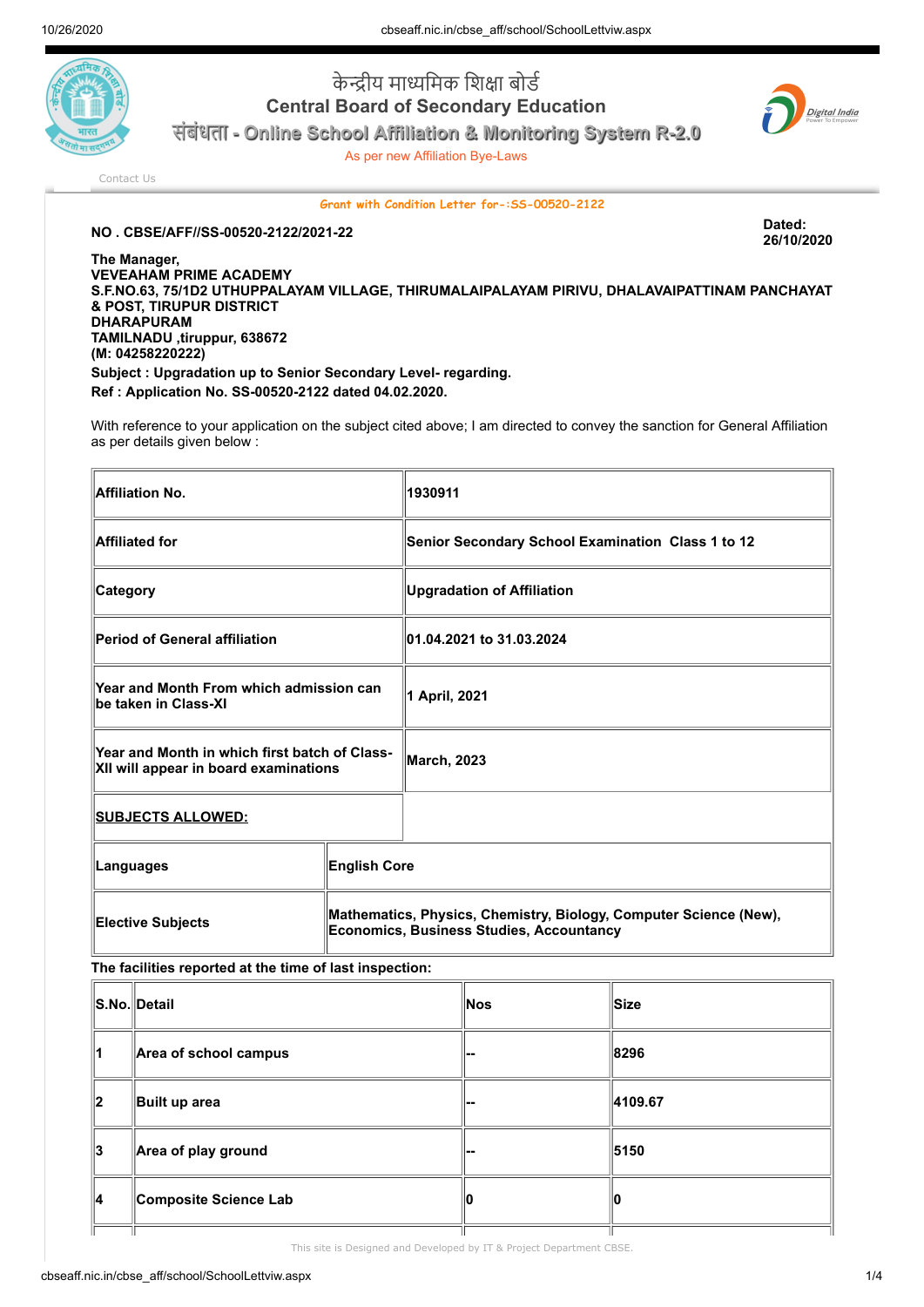

केन्द्रीय माध्यमिक शिक्षा बोर्ड Central Board of Secondary Education संबंधता - Online School Affiliation & Monitoring System R-2.0

As per new Affiliation Bye-Laws



[Contact Us](http://cbseaff.nic.in/cbse_aff/help.aspx)

Grant with Condition Letter for-:SS-00520-2122

NO . CBSE/AFF//SS-00520-2122/2021-22 Dated:

26/10/2020

The Manager, VEVEAHAM PRIME ACADEMY S.F.NO.63, 75/1D2 UTHUPPALAYAM VILLAGE, THIRUMALAIPALAYAM PIRIVU, DHALAVAIPATTINAM PANCHAYAT & POST, TIRUPUR DISTRICT DHARAPURAM TAMILNADU ,tiruppur, 638672 (M: 04258220222) Subject : Upgradation up to Senior Secondary Level- regarding. Ref : Application No. SS-00520-2122 dated 04.02.2020.

With reference to your application on the subject cited above; I am directed to convey the sanction for General Affiliation as per details given below :

| <b>Affiliation No.</b>                                                                 |                                                                                                                      | 1930911                                           |
|----------------------------------------------------------------------------------------|----------------------------------------------------------------------------------------------------------------------|---------------------------------------------------|
| <b>Affiliated for</b>                                                                  |                                                                                                                      | Senior Secondary School Examination Class 1 to 12 |
| <b>Category</b>                                                                        |                                                                                                                      | <b>Upgradation of Affiliation</b>                 |
| <b>Period of General affiliation</b>                                                   |                                                                                                                      | 01.04.2021 to 31.03.2024                          |
| Year and Month From which admission can<br>be taken in Class-XI                        |                                                                                                                      | 1 April, 2021                                     |
| Year and Month in which first batch of Class-<br>XII will appear in board examinations |                                                                                                                      | <b>March, 2023</b>                                |
| <u> SUBJECTS ALLOWED:</u>                                                              |                                                                                                                      |                                                   |
| Languages                                                                              | <b>English Core</b>                                                                                                  |                                                   |
| <b>Elective Subjects</b>                                                               | Mathematics, Physics, Chemistry, Biology, Computer Science (New),<br><b>Economics, Business Studies, Accountancy</b> |                                                   |

The facilities reported at the time of last inspection:

|    | S.No. Detail          | Nos | ∥Size   |
|----|-----------------------|-----|---------|
| 11 | Area of school campus | --  | 8296    |
| ∥2 | Built up area         | --  | 4109.67 |
| ∥3 | Area of play ground   | --  | 5150    |
| ∥4 | Composite Science Lab |     |         |
|    |                       |     |         |

This site is Designed and Developed by IT & Project Department CBSE.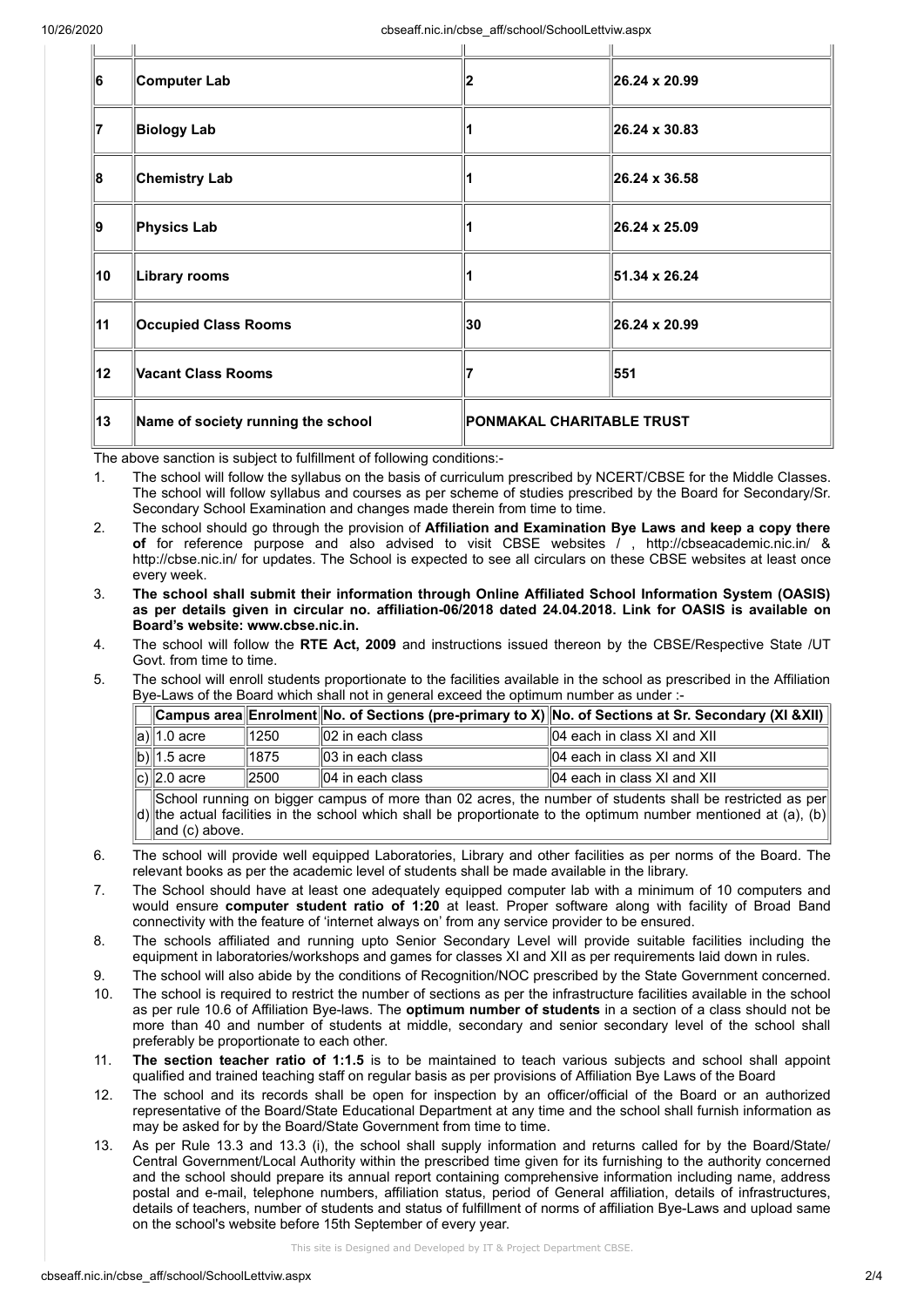| 6  | Computer Lab                       |                           | 26.24 x 20.99 |
|----|------------------------------------|---------------------------|---------------|
| 17 | <b>Biology Lab</b>                 |                           | 26.24 x 30.83 |
| 8  | <b>Chemistry Lab</b>               |                           | 26.24 x 36.58 |
| 9  | Physics Lab                        |                           | 26.24 x 25.09 |
| 10 | Library rooms                      |                           | 51.34 x 26.24 |
| 11 | <b>Occupied Class Rooms</b>        | 30                        | 26.24 x 20.99 |
| 12 | Vacant Class Rooms                 |                           | 551           |
| 13 | Name of society running the school | PONMAKAL CHARITABLE TRUST |               |
|    |                                    |                           |               |

The above sanction is subject to fulfillment of following conditions:-

1. The school will follow the syllabus on the basis of curriculum prescribed by NCERT/CBSE for the Middle Classes. The school will follow syllabus and courses as per scheme of studies prescribed by the Board for Secondary/Sr. Secondary School Examination and changes made therein from time to time.

- 2. The school should go through the provision of Affiliation and Examination Bye Laws and keep a copy there of for reference purpose and also advised to visit CBSE websites / , http://cbseacademic.nic.in/ & http://cbse.nic.in/ for updates. The School is expected to see all circulars on these CBSE websites at least once every week.
- 3. The school shall submit their information through Online Affiliated School Information System (OASIS) as per details given in circular no. affiliation-06/2018 dated 24.04.2018. Link for OASIS is available on Board's website: www.cbse.nic.in.
- 4. The school will follow the RTE Act, 2009 and instructions issued thereon by the CBSE/Respective State /UT Govt. from time to time.
- 5. The school will enroll students proportionate to the facilities available in the school as prescribed in the Affiliation Bye-Laws of the Board which shall not in general exceed the optimum number as under :-

|                                                                                                          |      |                              | $\ $ Campus area $\ $ Enrolment $\ $ No. of Sections (pre-primary to X) $\ $ No. of Sections at Sr. Secondary (XI &XII) |  |  |
|----------------------------------------------------------------------------------------------------------|------|------------------------------|-------------------------------------------------------------------------------------------------------------------------|--|--|
| ∥a)∥1.0 acre                                                                                             | 1250 | $\parallel$ 02 in each class | $  04$ each in class XI and XII                                                                                         |  |  |
| $\ $ b) $\ $ 1.5 acre                                                                                    | 1875 | $\parallel$ 03 in each class | $\parallel$ 04 each in class XI and XII                                                                                 |  |  |
| $\overline{ c }$ 2.0 acre                                                                                | 2500 | $  04$ in each class         | $  04$ each in class XI and XII                                                                                         |  |  |
| School running on bigger campus of more than 02 acres, the number of students shall be restricted as per |      |                              |                                                                                                                         |  |  |

d) the actual facilities in the school which shall be proportionate to the optimum number mentioned at (a), (b) and (c) above.

- 6. The school will provide well equipped Laboratories, Library and other facilities as per norms of the Board. The relevant books as per the academic level of students shall be made available in the library.
- 7. The School should have at least one adequately equipped computer lab with a minimum of 10 computers and would ensure computer student ratio of 1:20 at least. Proper software along with facility of Broad Band connectivity with the feature of 'internet always on' from any service provider to be ensured.
- 8. The schools affiliated and running upto Senior Secondary Level will provide suitable facilities including the equipment in laboratories/workshops and games for classes XI and XII as per requirements laid down in rules.
- 9. The school will also abide by the conditions of Recognition/NOC prescribed by the State Government concerned.
- 10. The school is required to restrict the number of sections as per the infrastructure facilities available in the school as per rule 10.6 of Affiliation Bye-laws. The optimum number of students in a section of a class should not be more than 40 and number of students at middle, secondary and senior secondary level of the school shall preferably be proportionate to each other.
- 11. The section teacher ratio of 1:1.5 is to be maintained to teach various subjects and school shall appoint qualified and trained teaching staff on regular basis as per provisions of Affiliation Bye Laws of the Board
- 12. The school and its records shall be open for inspection by an officer/official of the Board or an authorized representative of the Board/State Educational Department at any time and the school shall furnish information as may be asked for by the Board/State Government from time to time.
- 13. As per Rule 13.3 and 13.3 (i), the school shall supply information and returns called for by the Board/State/ Central Government/Local Authority within the prescribed time given for its furnishing to the authority concerned and the school should prepare its annual report containing comprehensive information including name, address postal and e-mail, telephone numbers, affiliation status, period of General affiliation, details of infrastructures, details of teachers, number of students and status of fulfillment of norms of affiliation Bye-Laws and upload same on the school's website before 15th September of every year.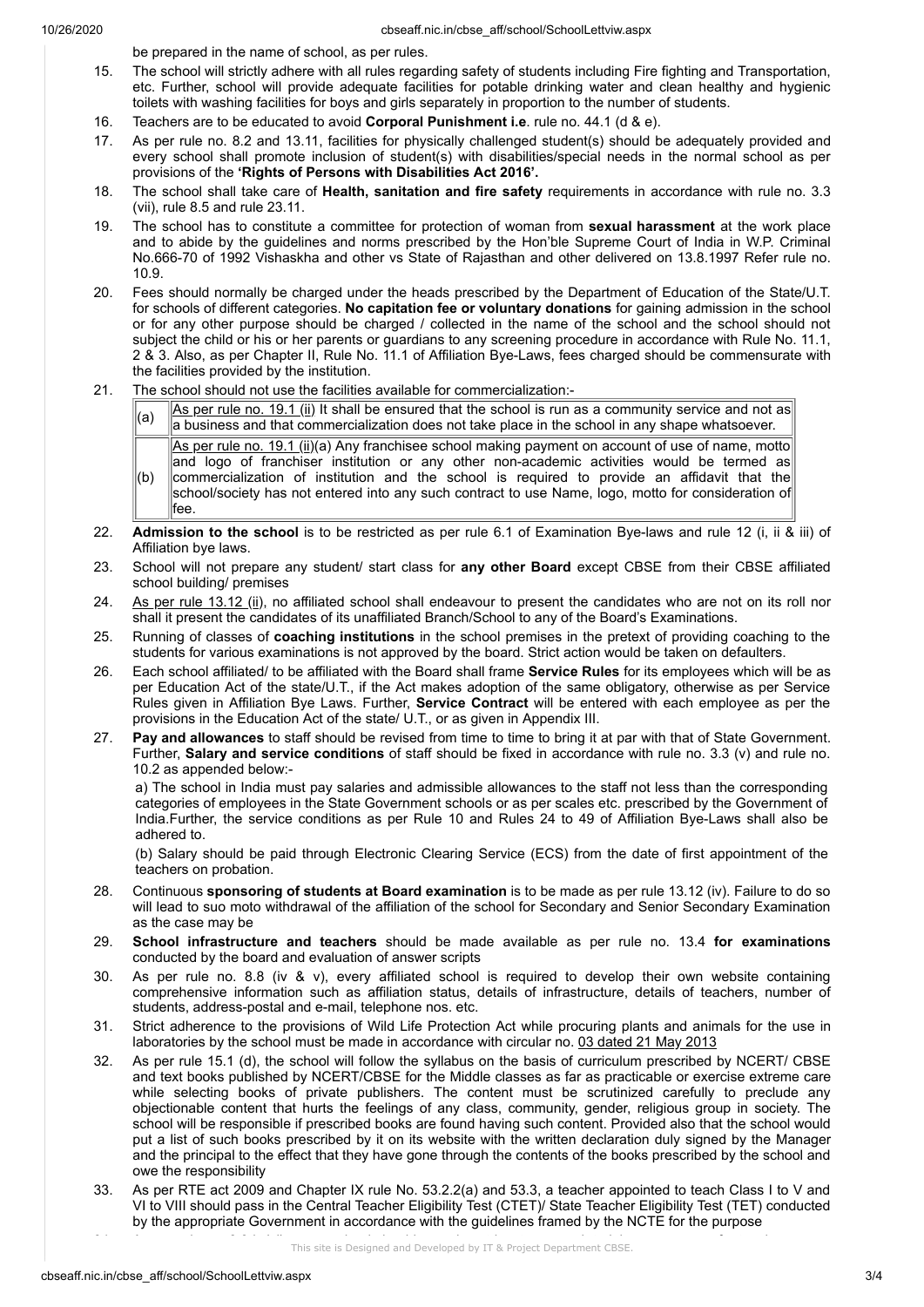be prepared in the name of school, as per rules.

- 15. The school will strictly adhere with all rules regarding safety of students including Fire fighting and Transportation, etc. Further, school will provide adequate facilities for potable drinking water and clean healthy and hygienic toilets with washing facilities for boys and girls separately in proportion to the number of students.
- 16. Teachers are to be educated to avoid Corporal Punishment i.e. rule no. 44.1 (d & e).
- 17. As per rule no. 8.2 and 13.11, facilities for physically challenged student(s) should be adequately provided and every school shall promote inclusion of student(s) with disabilities/special needs in the normal school as per provisions of the 'Rights of Persons with Disabilities Act 2016'.
- 18. The school shall take care of Health, sanitation and fire safety requirements in accordance with rule no. 3.3 (vii), rule 8.5 and rule 23.11.
- 19. The school has to constitute a committee for protection of woman from sexual harassment at the work place and to abide by the guidelines and norms prescribed by the Hon'ble Supreme Court of India in W.P. Criminal No.666-70 of 1992 Vishaskha and other vs State of Rajasthan and other delivered on 13.8.1997 Refer rule no. 10.9.
- 20. Fees should normally be charged under the heads prescribed by the Department of Education of the State/U.T. for schools of different categories. No capitation fee or voluntary donations for gaining admission in the school or for any other purpose should be charged / collected in the name of the school and the school should not subject the child or his or her parents or guardians to any screening procedure in accordance with Rule No. 11.1, 2 & 3. Also, as per Chapter II, Rule No. 11.1 of Affiliation Bye-Laws, fees charged should be commensurate with the facilities provided by the institution.
- 21. The school should not use the facilities available for commercialization:-

 $\begin{bmatrix} 1 & 1 \\ 0 & 1 \end{bmatrix}$  As per rule no. 19.1 (ii) It shall be ensured that the school is run as a community service and not as a business and that commercialization does not take place in the school in any shape whatsoever.

 $(b)$ As per rule no. 19.1 (ii)(a) Any franchisee school making payment on account of use of name, motto and logo of franchiser institution or any other non-academic activities would be termed as commercialization of institution and the school is required to provide an affidavit that the |school/society has not entered into any such contract to use Name, logo, motto for consideration of fee.

- 22. Admission to the school is to be restricted as per rule 6.1 of Examination Bye-laws and rule 12 (i, ii & iii) of Affiliation bye laws.
- 23. School will not prepare any student/ start class for any other Board except CBSE from their CBSE affiliated school building/ premises
- 24. As per rule 13.12 (ii), no affiliated school shall endeavour to present the candidates who are not on its roll nor shall it present the candidates of its unaffiliated Branch/School to any of the Board's Examinations.
- 25. Running of classes of coaching institutions in the school premises in the pretext of providing coaching to the students for various examinations is not approved by the board. Strict action would be taken on defaulters.
- 26. Each school affiliated/ to be affiliated with the Board shall frame Service Rules for its employees which will be as per Education Act of the state/U.T., if the Act makes adoption of the same obligatory, otherwise as per Service Rules given in Affiliation Bye Laws. Further, Service Contract will be entered with each employee as per the provisions in the Education Act of the state/ U.T., or as given in Appendix III.
- 27. Pay and allowances to staff should be revised from time to time to bring it at par with that of State Government. Further, Salary and service conditions of staff should be fixed in accordance with rule no. 3.3 (v) and rule no. 10.2 as appended below:-

a) The school in India must pay salaries and admissible allowances to the staff not less than the corresponding categories of employees in the State Government schools or as per scales etc. prescribed by the Government of India.Further, the service conditions as per Rule 10 and Rules 24 to 49 of Affiliation Bye-Laws shall also be adhered to.

(b) Salary should be paid through Electronic Clearing Service (ECS) from the date of first appointment of the teachers on probation.

- 28. Continuous sponsoring of students at Board examination is to be made as per rule 13.12 (iv). Failure to do so will lead to suo moto withdrawal of the affiliation of the school for Secondary and Senior Secondary Examination as the case may be
- 29. School infrastructure and teachers should be made available as per rule no. 13.4 for examinations conducted by the board and evaluation of answer scripts
- 30. As per rule no. 8.8 (iv & v), every affiliated school is required to develop their own website containing comprehensive information such as affiliation status, details of infrastructure, details of teachers, number of students, address-postal and e-mail, telephone nos. etc.
- 31. Strict adherence to the provisions of Wild Life Protection Act while procuring plants and animals for the use in laboratories by the school must be made in accordance with circular no. 03 dated 21 May 2013
- 32. As per rule 15.1 (d), the school will follow the syllabus on the basis of curriculum prescribed by NCERT/ CBSE and text books published by NCERT/CBSE for the Middle classes as far as practicable or exercise extreme care while selecting books of private publishers. The content must be scrutinized carefully to preclude any objectionable content that hurts the feelings of any class, community, gender, religious group in society. The school will be responsible if prescribed books are found having such content. Provided also that the school would put a list of such books prescribed by it on its website with the written declaration duly signed by the Manager and the principal to the effect that they have gone through the contents of the books prescribed by the school and owe the responsibility
- 33. As per RTE act 2009 and Chapter IX rule No. 53.2.2(a) and 53.3, a teacher appointed to teach Class I to V and VI to VIII should pass in the Central Teacher Eligibility Test (CTET)/ State Teacher Eligibility Test (TET) conducted by the appropriate Government in accordance with the guidelines framed by the NCTE for the purpose